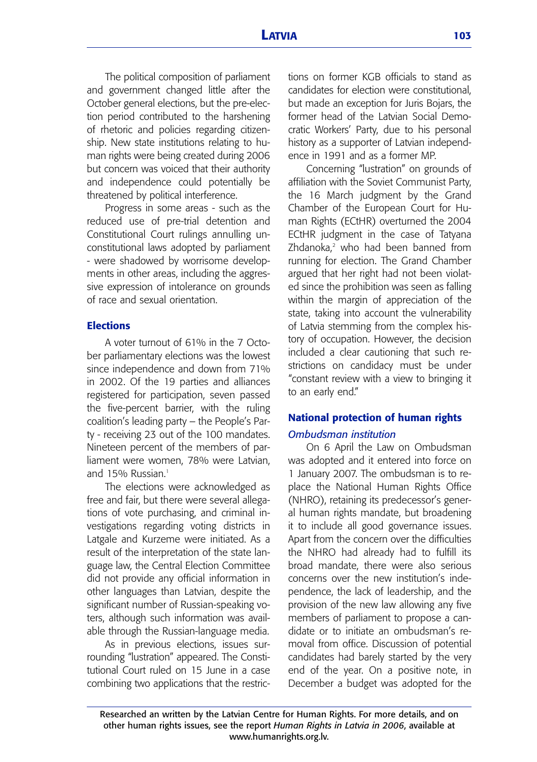The political composition of parliament and government changed little after the October general elections, but the pre-election period contributed to the harshening of rhetoric and policies regarding citizenship. New state institutions relating to human rights were being created during 2006 but concern was voiced that their authority and independence could potentially be threatened by political interference.

Progress in some areas - such as the reduced use of pre-trial detention and Constitutional Court rulings annulling unconstitutional laws adopted by parliament - were shadowed by worrisome developments in other areas, including the aggressive expression of intolerance on grounds of race and sexual orientation.

### **Elections**

A voter turnout of 61% in the 7 October parliamentary elections was the lowest since independence and down from 71% in 2002. Of the 19 parties and alliances registered for participation, seven passed the five-percent barrier, with the ruling coalition's leading party – the People's Party - receiving 23 out of the 100 mandates. Nineteen percent of the members of parliament were women, 78% were Latvian, and 15% Russian<sup>1</sup>

The elections were acknowledged as free and fair, but there were several allegations of vote purchasing, and criminal investigations regarding voting districts in Latgale and Kurzeme were initiated. As a result of the interpretation of the state language law, the Central Election Committee did not provide any official information in other languages than Latvian, despite the significant number of Russian-speaking voters, although such information was available through the Russian-language media.

As in previous elections, issues surrounding "lustration" appeared. The Constitutional Court ruled on 15 June in a case combining two applications that the restrictions on former KGB officials to stand as candidates for election were constitutional, but made an exception for Juris Bojars, the former head of the Latvian Social Democratic Workers' Party, due to his personal history as a supporter of Latvian independence in 1991 and as a former MP.

Concerning "lustration" on grounds of affiliation with the Soviet Communist Party, the 16 March judgment by the Grand Chamber of the European Court for Human Rights (ECtHR) overturned the 2004 ECtHR judgment in the case of Tatyana Zhdanoka,<sup>2</sup> who had been banned from running for election. The Grand Chamber argued that her right had not been violated since the prohibition was seen as falling within the margin of appreciation of the state, taking into account the vulnerability of Latvia stemming from the complex history of occupation. However, the decision included a clear cautioning that such restrictions on candidacy must be under "constant review with a view to bringing it to an early end."

## **National protection of human rights**  *Ombudsman institution*

On 6 April the Law on Ombudsman was adopted and it entered into force on 1 January 2007. The ombudsman is to replace the National Human Rights Office (NHRO), retaining its predecessor's general human rights mandate, but broadening it to include all good governance issues. Apart from the concern over the difficulties the NHRO had already had to fulfill its broad mandate, there were also serious concerns over the new institution's independence, the lack of leadership, and the provision of the new law allowing any five members of parliament to propose a candidate or to initiate an ombudsman's removal from office. Discussion of potential candidates had barely started by the very end of the year. On a positive note, in December a budget was adopted for the

Researched an written by the Latvian Centre for Human Rights. For more details, and on other human rights issues, see the report *Human Rights in Latvia in 2006*, available at www.humanrights.org.lv.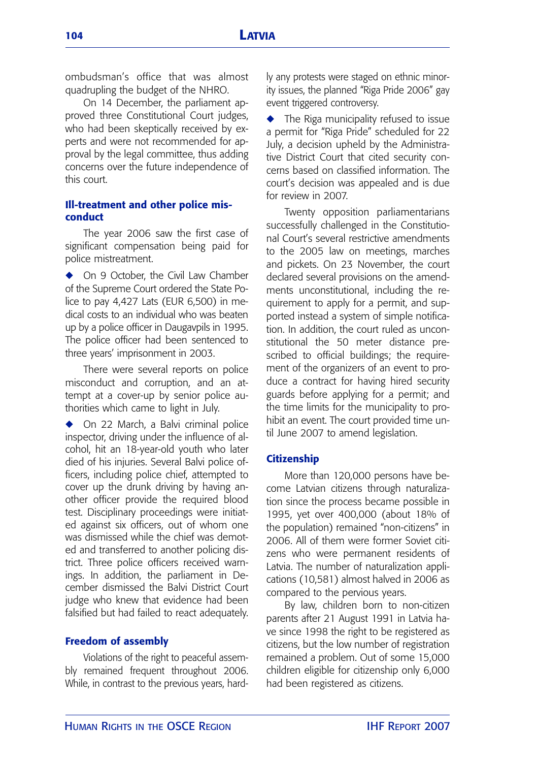ombudsman's office that was almost quadrupling the budget of the NHRO.

On 14 December, the parliament approved three Constitutional Court judges, who had been skeptically received by experts and were not recommended for approval by the legal committee, thus adding concerns over the future independence of this court.

## **Ill-treatment and other police misconduct**

The year 2006 saw the first case of significant compensation being paid for police mistreatment.

◆ On 9 October, the Civil Law Chamber of the Supreme Court ordered the State Police to pay 4,427 Lats (EUR 6,500) in medical costs to an individual who was beaten up by a police officer in Daugavpils in 1995. The police officer had been sentenced to three years' imprisonment in 2003.

There were several reports on police misconduct and corruption, and an attempt at a cover-up by senior police authorities which came to light in July.

◆ On 22 March, a Balvi criminal police inspector, driving under the influence of alcohol, hit an 18-year-old youth who later died of his injuries. Several Balvi police officers, including police chief, attempted to cover up the drunk driving by having another officer provide the required blood test. Disciplinary proceedings were initiated against six officers, out of whom one was dismissed while the chief was demoted and transferred to another policing district. Three police officers received warnings. In addition, the parliament in December dismissed the Balvi District Court judge who knew that evidence had been falsified but had failed to react adequately.

### **Freedom of assembly**

Violations of the right to peaceful assembly remained frequent throughout 2006. While, in contrast to the previous years, hardly any protests were staged on ethnic minority issues, the planned "Riga Pride 2006" gay event triggered controversy.

The Riga municipality refused to issue a permit for "Riga Pride" scheduled for 22 July, a decision upheld by the Administrative District Court that cited security concerns based on classified information. The court's decision was appealed and is due for review in 2007.

Twenty opposition parliamentarians successfully challenged in the Constitutional Court's several restrictive amendments to the 2005 law on meetings, marches and pickets. On 23 November, the court declared several provisions on the amendments unconstitutional, including the requirement to apply for a permit, and supported instead a system of simple notification. In addition, the court ruled as unconstitutional the 50 meter distance prescribed to official buildings; the requirement of the organizers of an event to produce a contract for having hired security guards before applying for a permit; and the time limits for the municipality to prohibit an event. The court provided time until June 2007 to amend legislation.

#### **Citizenship**

More than 120,000 persons have become Latvian citizens through naturalization since the process became possible in 1995, yet over 400,000 (about 18% of the population) remained "non-citizens" in 2006. All of them were former Soviet citizens who were permanent residents of Latvia. The number of naturalization applications (10,581) almost halved in 2006 as compared to the pervious years.

By law, children born to non-citizen parents after 21 August 1991 in Latvia have since 1998 the right to be registered as citizens, but the low number of registration remained a problem. Out of some 15,000 children eligible for citizenship only 6,000 had been registered as citizens.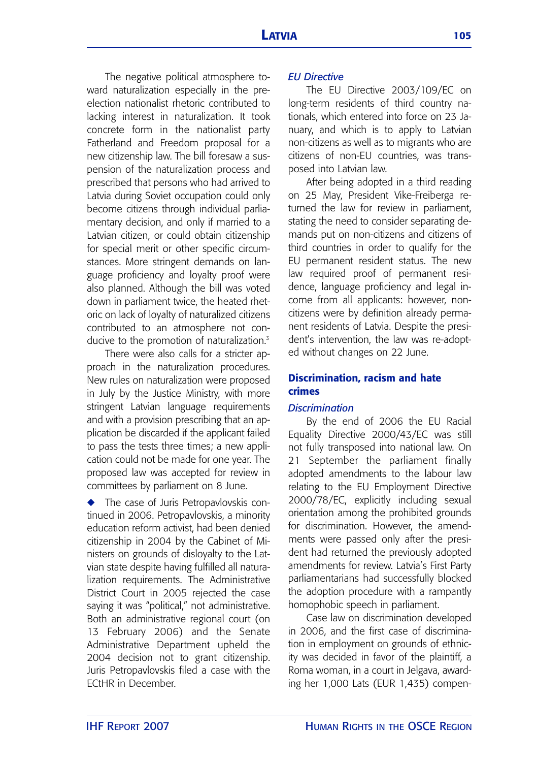The negative political atmosphere toward naturalization especially in the preelection nationalist rhetoric contributed to lacking interest in naturalization. It took concrete form in the nationalist party Fatherland and Freedom proposal for a new citizenship law. The bill foresaw a suspension of the naturalization process and prescribed that persons who had arrived to Latvia during Soviet occupation could only become citizens through individual parliamentary decision, and only if married to a Latvian citizen, or could obtain citizenship for special merit or other specific circumstances. More stringent demands on language proficiency and loyalty proof were also planned. Although the bill was voted down in parliament twice, the heated rhetoric on lack of loyalty of naturalized citizens contributed to an atmosphere not conducive to the promotion of naturalization.<sup>3</sup>

There were also calls for a stricter approach in the naturalization procedures. New rules on naturalization were proposed in July by the Justice Ministry, with more stringent Latvian language requirements and with a provision prescribing that an application be discarded if the applicant failed to pass the tests three times; a new application could not be made for one year. The proposed law was accepted for review in committees by parliament on 8 June.

◆ The case of Juris Petropavlovskis continued in 2006. Petropavlovskis, a minority education reform activist, had been denied citizenship in 2004 by the Cabinet of Ministers on grounds of disloyalty to the Latvian state despite having fulfilled all naturalization requirements. The Administrative District Court in 2005 rejected the case saying it was "political," not administrative. Both an administrative regional court (on 13 February 2006) and the Senate Administrative Department upheld the 2004 decision not to grant citizenship. Juris Petropavlovskis filed a case with the ECtHR in December.

## *EU Directive*

The EU Directive 2003/109/EC on long-term residents of third country nationals, which entered into force on 23 January, and which is to apply to Latvian non-citizens as well as to migrants who are citizens of non-EU countries, was transposed into Latvian law.

After being adopted in a third reading on 25 May, President Vike-Freiberga returned the law for review in parliament, stating the need to consider separating demands put on non-citizens and citizens of third countries in order to qualify for the EU permanent resident status. The new law required proof of permanent residence, language proficiency and legal income from all applicants: however, noncitizens were by definition already permanent residents of Latvia. Despite the president's intervention, the law was re-adopted without changes on 22 June.

## **Discrimination, racism and hate crimes**

## *Discrimination*

By the end of 2006 the EU Racial Equality Directive 2000/43/EC was still not fully transposed into national law. On 21 September the parliament finally adopted amendments to the labour law relating to the EU Employment Directive 2000/78/EC, explicitly including sexual orientation among the prohibited grounds for discrimination. However, the amendments were passed only after the president had returned the previously adopted amendments for review. Latvia's First Party parliamentarians had successfully blocked the adoption procedure with a rampantly homophobic speech in parliament.

Case law on discrimination developed in 2006, and the first case of discrimination in employment on grounds of ethnicity was decided in favor of the plaintiff, a Roma woman, in a court in Jelgava, awarding her 1,000 Lats (EUR 1,435) compen-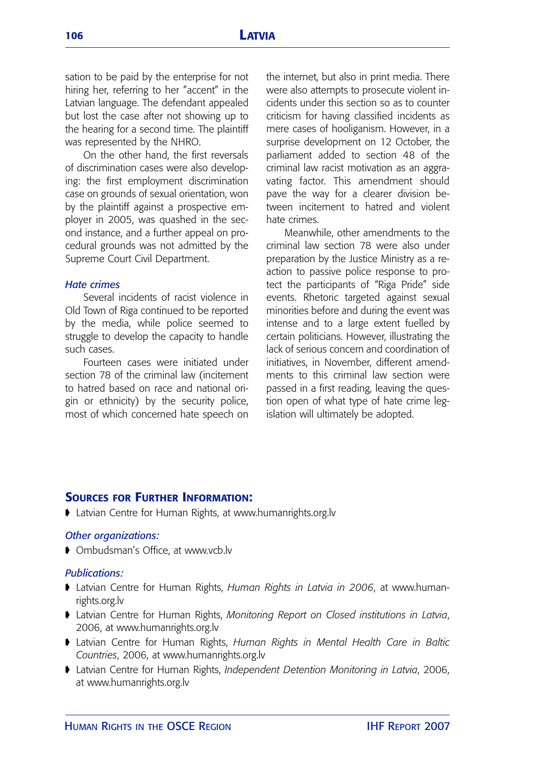sation to be paid by the enterprise for not hiring her, referring to her "accent" in the Latvian language. The defendant appealed but lost the case after not showing up to the hearing for a second time. The plaintiff was represented by the NHRO.

On the other hand, the first reversals of discrimination cases were also developing: the first employment discrimination case on grounds of sexual orientation, won by the plaintiff against a prospective employer in 2005, was quashed in the second instance, and a further appeal on procedural grounds was not admitted by the Supreme Court Civil Department.

### *Hate crimes*

Several incidents of racist violence in Old Town of Riga continued to be reported by the media, while police seemed to struggle to develop the capacity to handle such cases.

Fourteen cases were initiated under section 78 of the criminal law (incitement to hatred based on race and national origin or ethnicity) by the security police, most of which concerned hate speech on the internet, but also in print media. There were also attempts to prosecute violent incidents under this section so as to counter criticism for having classified incidents as mere cases of hooliganism. However, in a surprise development on 12 October, the parliament added to section 48 of the criminal law racist motivation as an aggravating factor. This amendment should pave the way for a clearer division between incitement to hatred and violent hate crimes.

Meanwhile, other amendments to the criminal law section 78 were also under preparation by the Justice Ministry as a reaction to passive police response to protect the participants of "Riga Pride" side events. Rhetoric targeted against sexual minorities before and during the event was intense and to a large extent fuelled by certain politicians. However, illustrating the lack of serious concern and coordination of initiatives, in November, different amendments to this criminal law section were passed in a first reading, leaving the question open of what type of hate crime legislation will ultimately be adopted.

## **SOURCES FOR FURTHER INFORMATION:**

➧ Latvian Centre for Human Rights, at www.humanrights.org.lv

### *Other organizations:*

➧ Ombudsman's Office, at www.vcb.lv

### *Publications:*

- ➧ Latvian Centre for Human Rights, *Human Rights in Latvia in 2006*, at www.humanrights.org.lv
- ➧ Latvian Centre for Human Rights, *Monitoring Report on Closed institutions in Latvia*, 2006, at www.humanrights.org.lv
- ➧ Latvian Centre for Human Rights, *Human Rights in Mental Health Care in Baltic Countries*, 2006, at www.humanrights.org.lv
- ➧ Latvian Centre for Human Rights, *Independent Detention Monitoring in Latvia*, 2006, at www.humanrights.org.lv